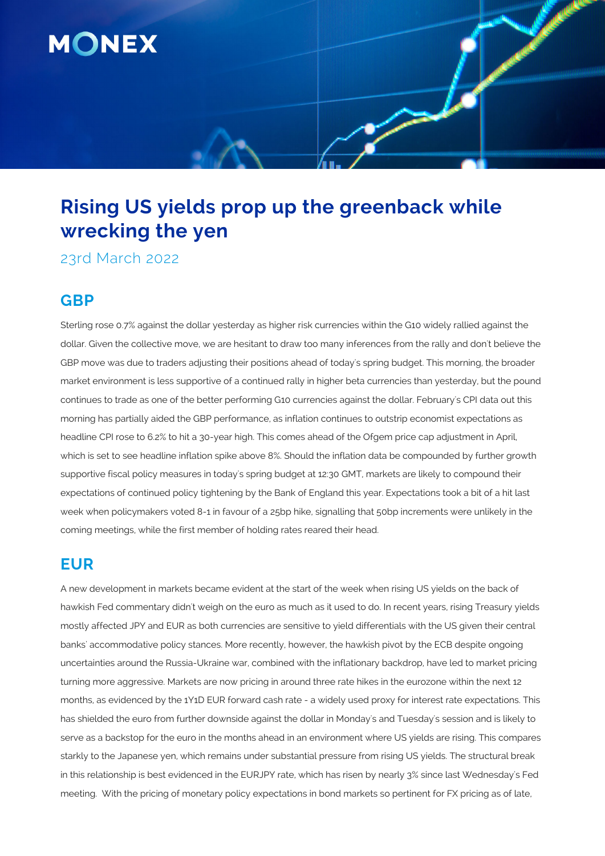

# **Rising US yields prop up the greenback while wrecking the yen**

23rd March 2022

# **GBP**

Sterling rose 0.7% against the dollar yesterday as higher risk currencies within the G10 widely rallied against the dollar. Given the collective move, we are hesitant to draw too many inferences from the rally and don't believe the GBP move was due to traders adjusting their positions ahead of today's spring budget. This morning, the broader market environment is less supportive of a continued rally in higher beta currencies than yesterday, but the pound continues to trade as one of the better performing G10 currencies against the dollar. February's CPI data out this morning has partially aided the GBP performance, as inflation continues to outstrip economist expectations as headline CPI rose to 6.2% to hit a 30-year high. This comes ahead of the Ofgem price cap adjustment in April, which is set to see headline inflation spike above 8%. Should the inflation data be compounded by further growth supportive fiscal policy measures in today's spring budget at 12:30 GMT, markets are likely to compound their expectations of continued policy tightening by the Bank of England this year. Expectations took a bit of a hit last week when policymakers voted 8-1 in favour of a 25bp hike, signalling that 50bp increments were unlikely in the coming meetings, while the first member of holding rates reared their head.

## **EUR**

A new development in markets became evident at the start of the week when rising US yields on the back of hawkish Fed commentary didn't weigh on the euro as much as it used to do. In recent years, rising Treasury yields mostly affected JPY and EUR as both currencies are sensitive to yield differentials with the US given their central banks' accommodative policy stances. More recently, however, the hawkish pivot by the ECB despite ongoing uncertainties around the Russia-Ukraine war, combined with the inflationary backdrop, have led to market pricing turning more aggressive. Markets are now pricing in around three rate hikes in the eurozone within the next 12 months, as evidenced by the 1Y1D EUR forward cash rate - a widely used proxy for interest rate expectations. This has shielded the euro from further downside against the dollar in Monday's and Tuesday's session and is likely to serve as a backstop for the euro in the months ahead in an environment where US yields are rising. This compares starkly to the Japanese yen, which remains under substantial pressure from rising US yields. The structural break in this relationship is best evidenced in the EURJPY rate, which has risen by nearly 3% since last Wednesday's Fed meeting. With the pricing of monetary policy expectations in bond markets so pertinent for FX pricing as of late,